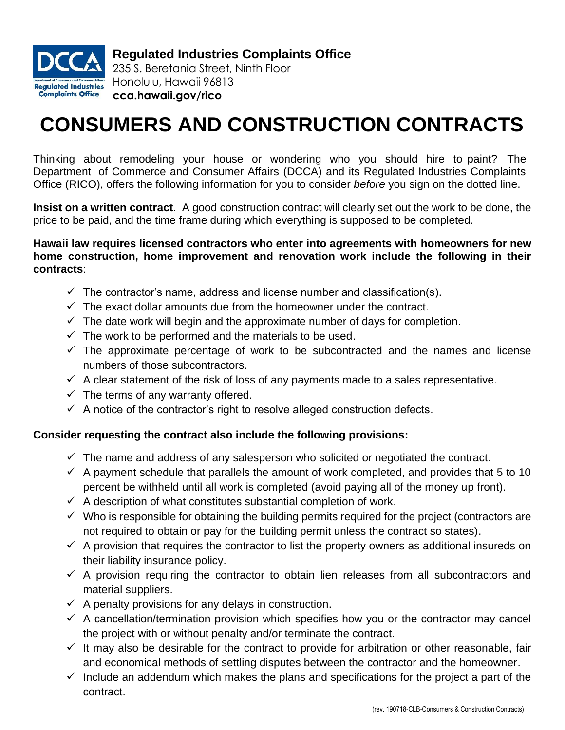

**Regulated Industries Complaints Office**

235 S. Beretania Street, Ninth Floor Honolulu, Hawaii 96813 **cca.hawaii.gov/rico**

## **CONSUMERS AND CONSTRUCTION CONTRACTS**

Thinking about remodeling your house or wondering who you should hire to paint? The Department of Commerce and Consumer Affairs (DCCA) and its Regulated Industries Complaints Office (RICO), offers the following information for you to consider *before* you sign on the dotted line.

**Insist on a written contract**. A good construction contract will clearly set out the work to be done, the price to be paid, and the time frame during which everything is supposed to be completed.

## **Hawaii law requires licensed contractors who enter into agreements with homeowners for new home construction, home improvement and renovation work include the following in their contracts**:

- $\checkmark$  The contractor's name, address and license number and classification(s).
- $\checkmark$  The exact dollar amounts due from the homeowner under the contract.
- $\checkmark$  The date work will begin and the approximate number of days for completion.
- $\checkmark$  The work to be performed and the materials to be used.
- $\checkmark$  The approximate percentage of work to be subcontracted and the names and license numbers of those subcontractors.
- $\checkmark$  A clear statement of the risk of loss of any payments made to a sales representative.
- $\checkmark$  The terms of any warranty offered.
- $\checkmark$  A notice of the contractor's right to resolve alleged construction defects.

## **Consider requesting the contract also include the following provisions:**

- $\checkmark$  The name and address of any salesperson who solicited or negotiated the contract.
- $\checkmark$  A payment schedule that parallels the amount of work completed, and provides that 5 to 10 percent be withheld until all work is completed (avoid paying all of the money up front).
- $\checkmark$  A description of what constitutes substantial completion of work.
- $\checkmark$  Who is responsible for obtaining the building permits required for the project (contractors are not required to obtain or pay for the building permit unless the contract so states).
- $\checkmark$  A provision that requires the contractor to list the property owners as additional insureds on their liability insurance policy.
- $\checkmark$  A provision requiring the contractor to obtain lien releases from all subcontractors and material suppliers.
- $\checkmark$  A penalty provisions for any delays in construction.
- $\checkmark$  A cancellation/termination provision which specifies how you or the contractor may cancel the project with or without penalty and/or terminate the contract.
- $\checkmark$  It may also be desirable for the contract to provide for arbitration or other reasonable, fair and economical methods of settling disputes between the contractor and the homeowner.
- $\checkmark$  Include an addendum which makes the plans and specifications for the project a part of the contract.